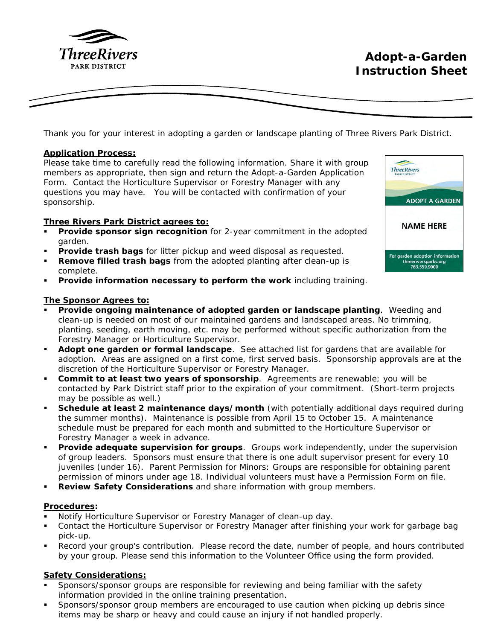

Thank you for your interest in adopting a garden or landscape planting of Three Rivers Park District.

## **Application Process:**

Please take time to carefully read the following information. Share it with group members as appropriate, then sign and return the Adopt-a-Garden Application Form. Contact the Horticulture Supervisor or Forestry Manager with any questions you may have. You will be contacted with confirmation of your sponsorship.

# **Three Rivers Park District agrees to:**

- **Provide sponsor sign recognition** for 2-year commitment in the adopted garden.
- **Provide trash bags** for litter pickup and weed disposal as requested.
- **Remove filled trash bags** from the adopted planting after clean-up is complete.
- **Provide information necessary to perform the work** including training.

# **The Sponsor Agrees to:**

- **Provide ongoing maintenance of adopted garden or landscape planting**. Weeding and clean-up is needed on most of our maintained gardens and landscaped areas. No trimming, planting, seeding, earth moving, etc. may be performed without specific authorization from the Forestry Manager or Horticulture Supervisor.
- **Adopt one garden or formal landscape**. See attached list for gardens that are available for adoption. Areas are assigned on a first come, first served basis. Sponsorship approvals are at the discretion of the Horticulture Supervisor or Forestry Manager.
- **Commit to at least two years of sponsorship**. Agreements are renewable; you will be contacted by Park District staff prior to the expiration of your commitment. (Short-term projects may be possible as well.)
- Schedule at least 2 maintenance days/month (with potentially additional days required during the summer months). Maintenance is possible from April 15 to October 15. A maintenance schedule must be prepared for each month and submitted to the Horticulture Supervisor or Forestry Manager a week in advance.
- **Provide adequate supervision for groups**. Groups work independently, under the supervision of group leaders. Sponsors must ensure that there is one adult supervisor present for every 10 juveniles (under 16). Parent Permission for Minors: Groups are responsible for obtaining parent permission of minors under age 18. Individual volunteers must have a Permission Form on file.
- Review Safety Considerations and share information with group members.

## **Procedures:**

- Notify Horticulture Supervisor or Forestry Manager of clean-up day.
- Contact the Horticulture Supervisor or Forestry Manager after finishing your work for garbage bag pick-up.
- Record your group's contribution. Please record the date, number of people, and hours contributed by your group. Please send this information to the Volunteer Office using the form provided.

# **Safety Considerations:**

- Sponsors/sponsor groups are responsible for reviewing and being familiar with the safety information provided in the online training presentation.
- Sponsors/sponsor group members are encouraged to use caution when picking up debris since items may be sharp or heavy and could cause an injury if not handled properly.